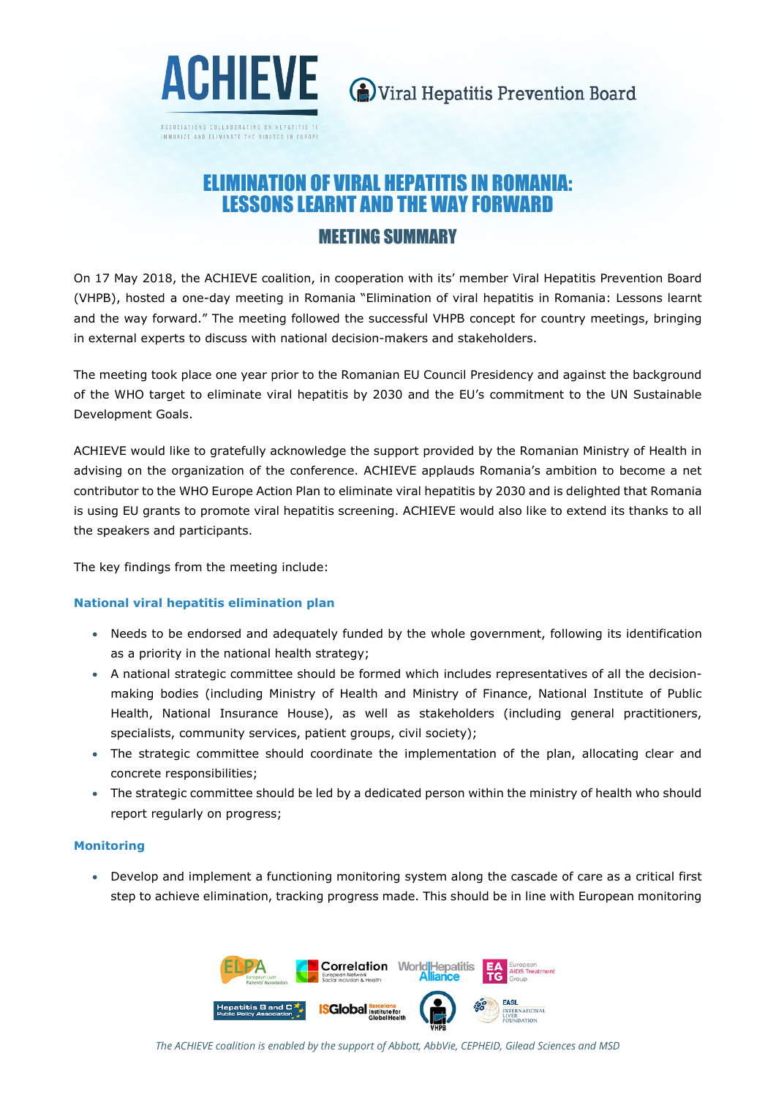

ASSOCIATIONS COLLABORATING ON HEPATITIS IMMUNIZE AND ELIMINATE THE VIRUSES IN EUROPE

# ELIMINATION OF VIRAL HEPATITIS IN ROMANIA: LESSONS LEARNT AND THE WAY FORWARD MEETING SUMMARY

On 17 May 2018, the ACHIEVE coalition, in cooperation with its' member Viral Hepatitis Prevention Board (VHPB), hosted a one-day meeting in Romania "Elimination of viral hepatitis in Romania: Lessons learnt and the way forward." The meeting followed the successful VHPB concept for country meetings, bringing in external experts to discuss with national decision-makers and stakeholders.

The meeting took place one year prior to the Romanian EU Council Presidency and against the background of the WHO target to eliminate viral hepatitis by 2030 and the EU's commitment to the UN Sustainable Development Goals.

ACHIEVE would like to gratefully acknowledge the support provided by the Romanian Ministry of Health in advising on the organization of the conference. ACHIEVE applauds Romania's ambition to become a net contributor to the WHO Europe Action Plan to eliminate viral hepatitis by 2030 and is delighted that Romania is using EU grants to promote viral hepatitis screening. ACHIEVE would also like to extend its thanks to all the speakers and participants.

The key findings from the meeting include:

## **National viral hepatitis elimination plan**

- Needs to be endorsed and adequately funded by the whole government, following its identification as a priority in the national health strategy;
- A national strategic committee should be formed which includes representatives of all the decisionmaking bodies (including Ministry of Health and Ministry of Finance, National Institute of Public Health, National Insurance House), as well as stakeholders (including general practitioners, specialists, community services, patient groups, civil society);
- The strategic committee should coordinate the implementation of the plan, allocating clear and concrete responsibilities;
- The strategic committee should be led by a dedicated person within the ministry of health who should report regularly on progress;

#### **Monitoring**

• Develop and implement a functioning monitoring system along the cascade of care as a critical first step to achieve elimination, tracking progress made. This should be in line with European monitoring